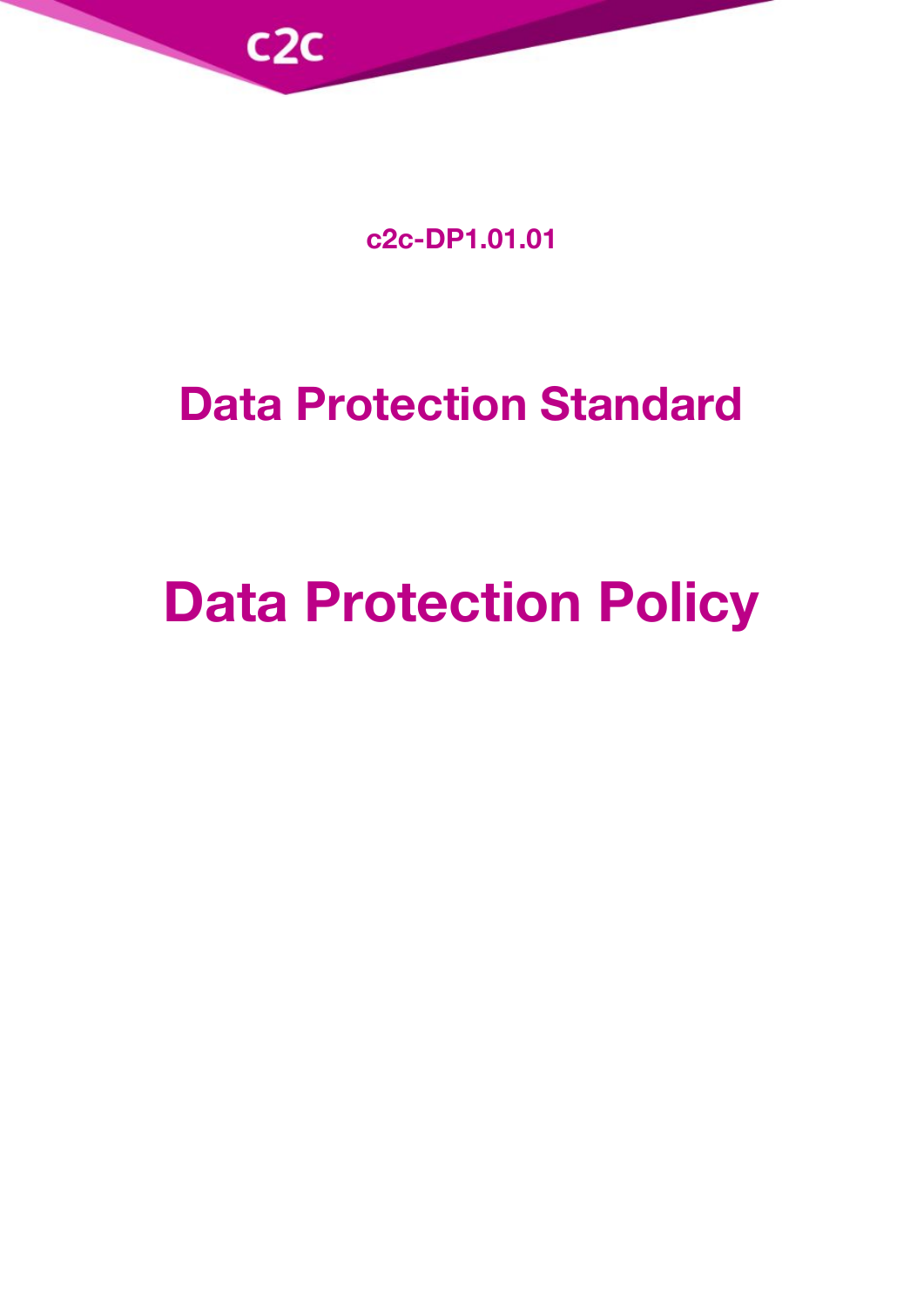

**c2c-DP1.01.01**

# **Data Protection Standard**

# **Data Protection Policy**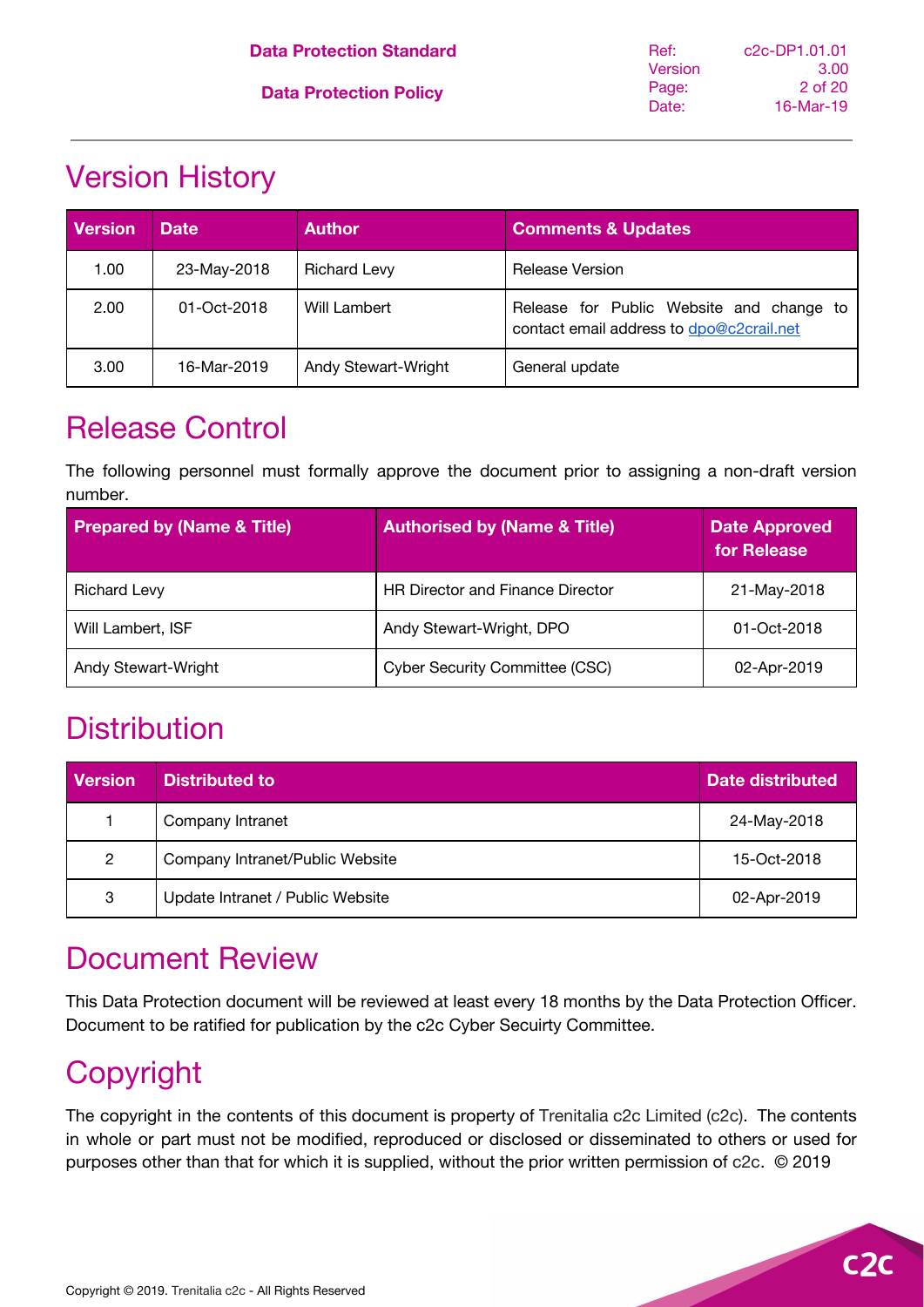# <span id="page-1-0"></span>Version History

| <b>Version</b> | <b>Date</b> | <b>Author</b>       | <b>Comments &amp; Updates</b>                                                        |
|----------------|-------------|---------------------|--------------------------------------------------------------------------------------|
| 1.00           | 23-May-2018 | <b>Richard Levy</b> | <b>Release Version</b>                                                               |
| 2.00           | 01-Oct-2018 | Will Lambert        | Release for Public Website and change to<br>contact email address to dpo@c2crail.net |
| 3.00           | 16-Mar-2019 | Andy Stewart-Wright | General update                                                                       |

### <span id="page-1-1"></span>Release Control

The following personnel must formally approve the document prior to assigning a non-draft version number.

| <b>Prepared by (Name &amp; Title)</b> | <b>Authorised by (Name &amp; Title)</b> | <b>Date Approved</b><br>for Release |
|---------------------------------------|-----------------------------------------|-------------------------------------|
| <b>Richard Levy</b>                   | <b>HR Director and Finance Director</b> | 21-May-2018                         |
| Will Lambert, ISF                     | Andy Stewart-Wright, DPO                | 01-Oct-2018                         |
| Andy Stewart-Wright                   | <b>Cyber Security Committee (CSC)</b>   | 02-Apr-2019                         |

### <span id="page-1-2"></span>**Distribution**

| <b>Version</b> | <b>Distributed to</b>            | <b>Date distributed</b> |
|----------------|----------------------------------|-------------------------|
|                | Company Intranet                 | 24-May-2018             |
| $\overline{2}$ | Company Intranet/Public Website  | 15-Oct-2018             |
| 3              | Update Intranet / Public Website | 02-Apr-2019             |

# <span id="page-1-3"></span>Document Review

This Data Protection document will be reviewed at least every 18 months by the Data Protection Officer. Document to be ratified for publication by the c2c Cyber Secuirty Committee.

# <span id="page-1-4"></span>Copyright

The copyright in the contents of this document is property of Trenitalia c2c Limited (c2c). The contents in whole or part must not be modified, reproduced or disclosed or disseminated to others or used for purposes other than that for which it is supplied, without the prior written permission of c2c. © 2019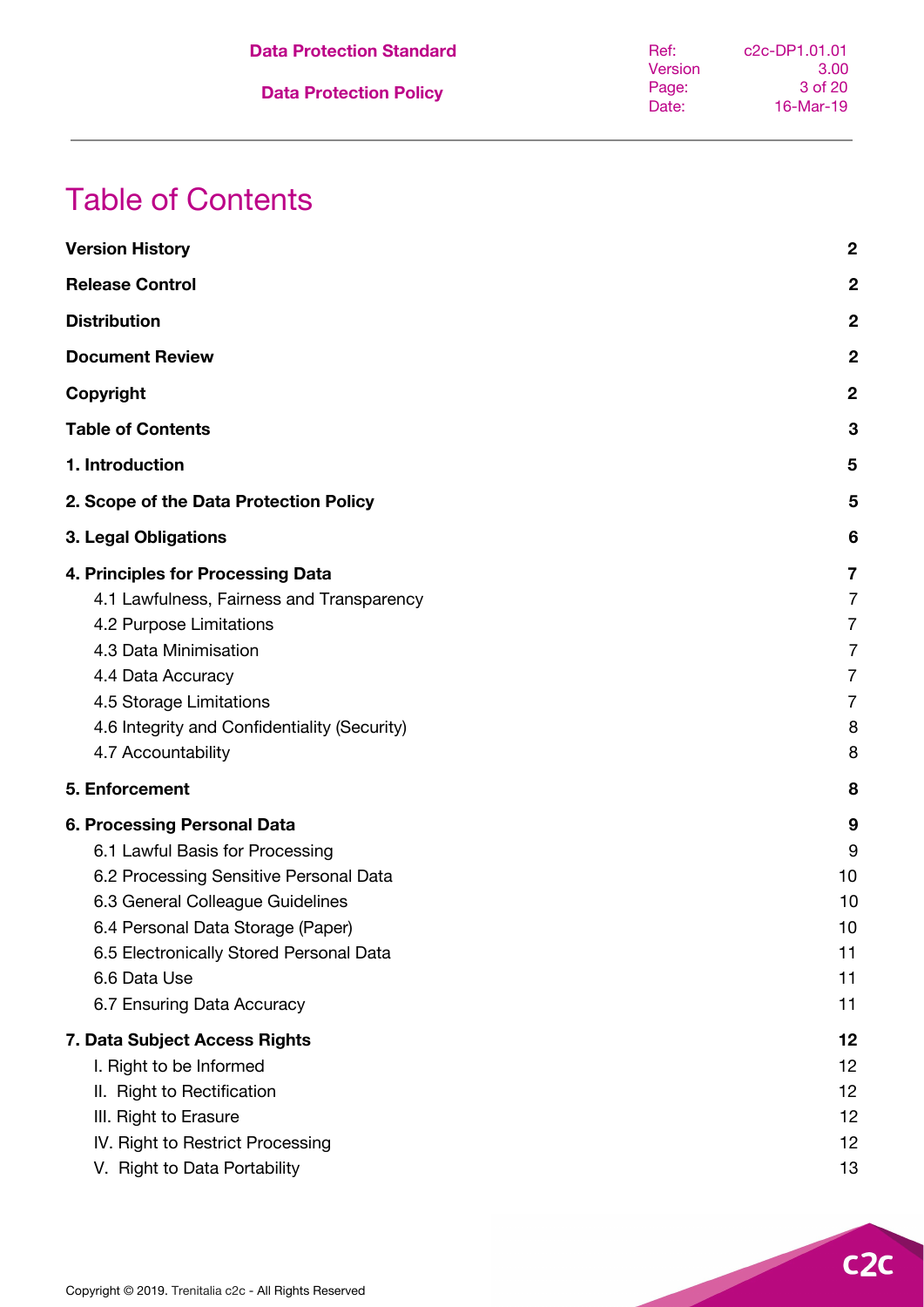| <b>Data Protection Standard</b> | Ref:    | c <sub>2</sub> c-DP <sub>1</sub> .01.01 |
|---------------------------------|---------|-----------------------------------------|
|                                 | Version | 3.00                                    |
| <b>Data Protection Policy</b>   | Page:   | 3 of 20                                 |
|                                 | Date:   | 16-Mar-19                               |
|                                 |         |                                         |

# <span id="page-2-0"></span>Table of Contents

| <b>Version History</b>                                                                                                                                                                                                                                                     | $\boldsymbol{2}$                                                            |
|----------------------------------------------------------------------------------------------------------------------------------------------------------------------------------------------------------------------------------------------------------------------------|-----------------------------------------------------------------------------|
| <b>Release Control</b>                                                                                                                                                                                                                                                     | $\mathbf{2}$                                                                |
| <b>Distribution</b>                                                                                                                                                                                                                                                        | $\boldsymbol{2}$                                                            |
| <b>Document Review</b>                                                                                                                                                                                                                                                     | $\boldsymbol{2}$                                                            |
| Copyright                                                                                                                                                                                                                                                                  | $\mathbf 2$                                                                 |
| <b>Table of Contents</b>                                                                                                                                                                                                                                                   | 3                                                                           |
| 1. Introduction                                                                                                                                                                                                                                                            | 5                                                                           |
| 2. Scope of the Data Protection Policy                                                                                                                                                                                                                                     | 5                                                                           |
| 3. Legal Obligations                                                                                                                                                                                                                                                       | 6                                                                           |
| 4. Principles for Processing Data<br>4.1 Lawfulness, Fairness and Transparency<br>4.2 Purpose Limitations<br>4.3 Data Minimisation<br>4.4 Data Accuracy<br>4.5 Storage Limitations<br>4.6 Integrity and Confidentiality (Security)<br>4.7 Accountability                   | 7<br>$\overline{7}$<br>7<br>$\overline{7}$<br>7<br>$\overline{7}$<br>8<br>8 |
| 5. Enforcement                                                                                                                                                                                                                                                             | 8                                                                           |
| 6. Processing Personal Data<br>6.1 Lawful Basis for Processing<br>6.2 Processing Sensitive Personal Data<br>6.3 General Colleague Guidelines<br>6.4 Personal Data Storage (Paper)<br>6.5 Electronically Stored Personal Data<br>6.6 Data Use<br>6.7 Ensuring Data Accuracy | 9<br>9<br>10<br>10<br>10<br>11<br>11<br>11                                  |
| 7. Data Subject Access Rights<br>I. Right to be Informed<br>II. Right to Rectification<br>III. Right to Erasure<br>IV. Right to Restrict Processing<br>V. Right to Data Portability                                                                                        | 12<br>12<br>12<br>12<br>12<br>13                                            |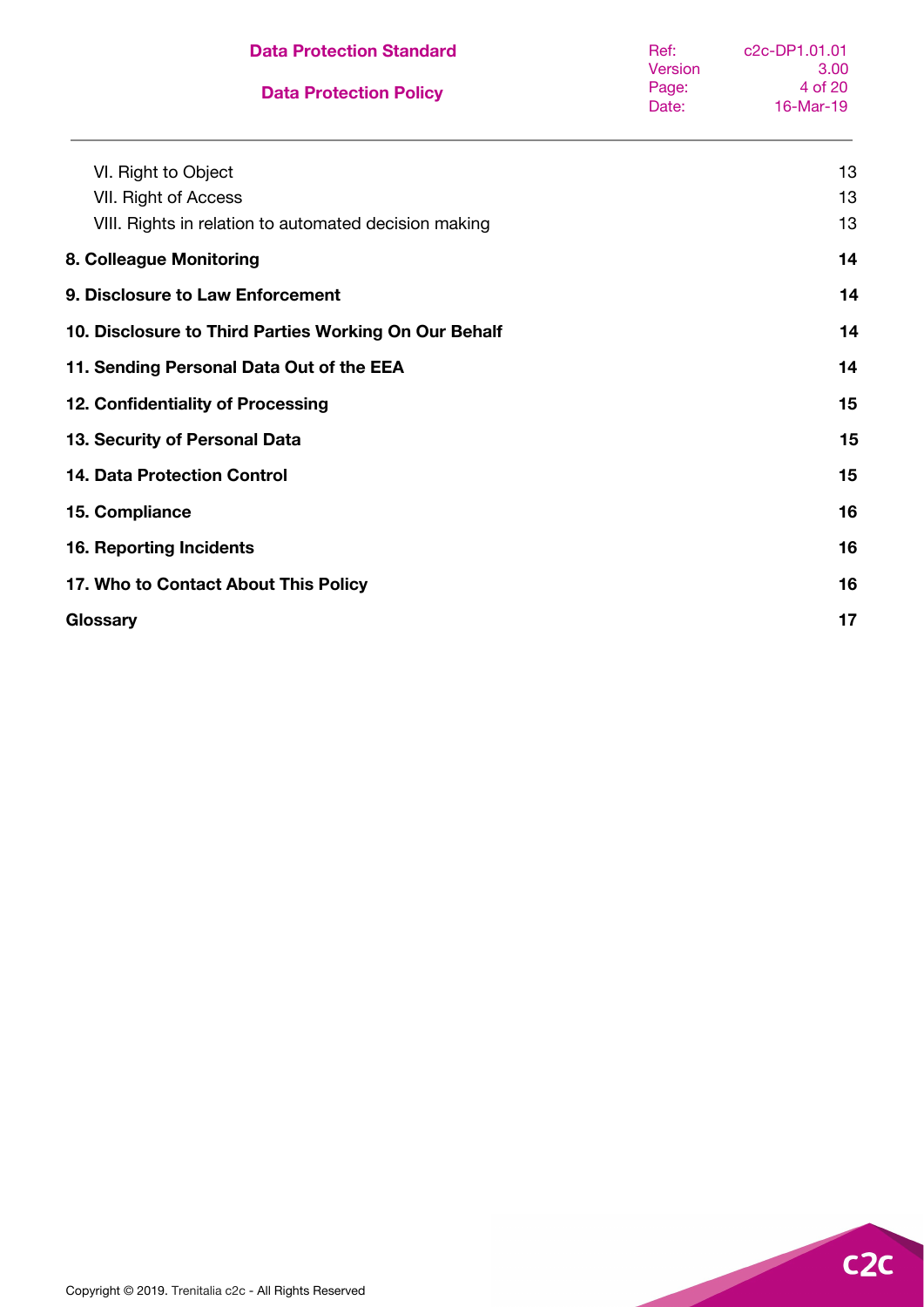| <b>Data Protection Standard</b>                       | Ref:<br>Version | c2c-DP1.01.01<br>3.00 |
|-------------------------------------------------------|-----------------|-----------------------|
| <b>Data Protection Policy</b>                         | Page:<br>Date:  | 4 of 20<br>16-Mar-19  |
| VI. Right to Object                                   |                 | 13                    |
| VII. Right of Access                                  |                 | 13                    |
| VIII. Rights in relation to automated decision making |                 | 13                    |
| 8. Colleague Monitoring                               |                 | 14                    |
| 9. Disclosure to Law Enforcement                      |                 | 14                    |
| 10. Disclosure to Third Parties Working On Our Behalf |                 | 14                    |
| 11. Sending Personal Data Out of the EEA              |                 | 14                    |
| 12. Confidentiality of Processing                     |                 | 15                    |
| 13. Security of Personal Data                         |                 | 15                    |
| <b>14. Data Protection Control</b>                    |                 | 15                    |
| 15. Compliance                                        |                 | 16                    |
| <b>16. Reporting Incidents</b>                        |                 | 16                    |
| 17. Who to Contact About This Policy                  |                 | 16                    |
| Glossary                                              |                 | 17                    |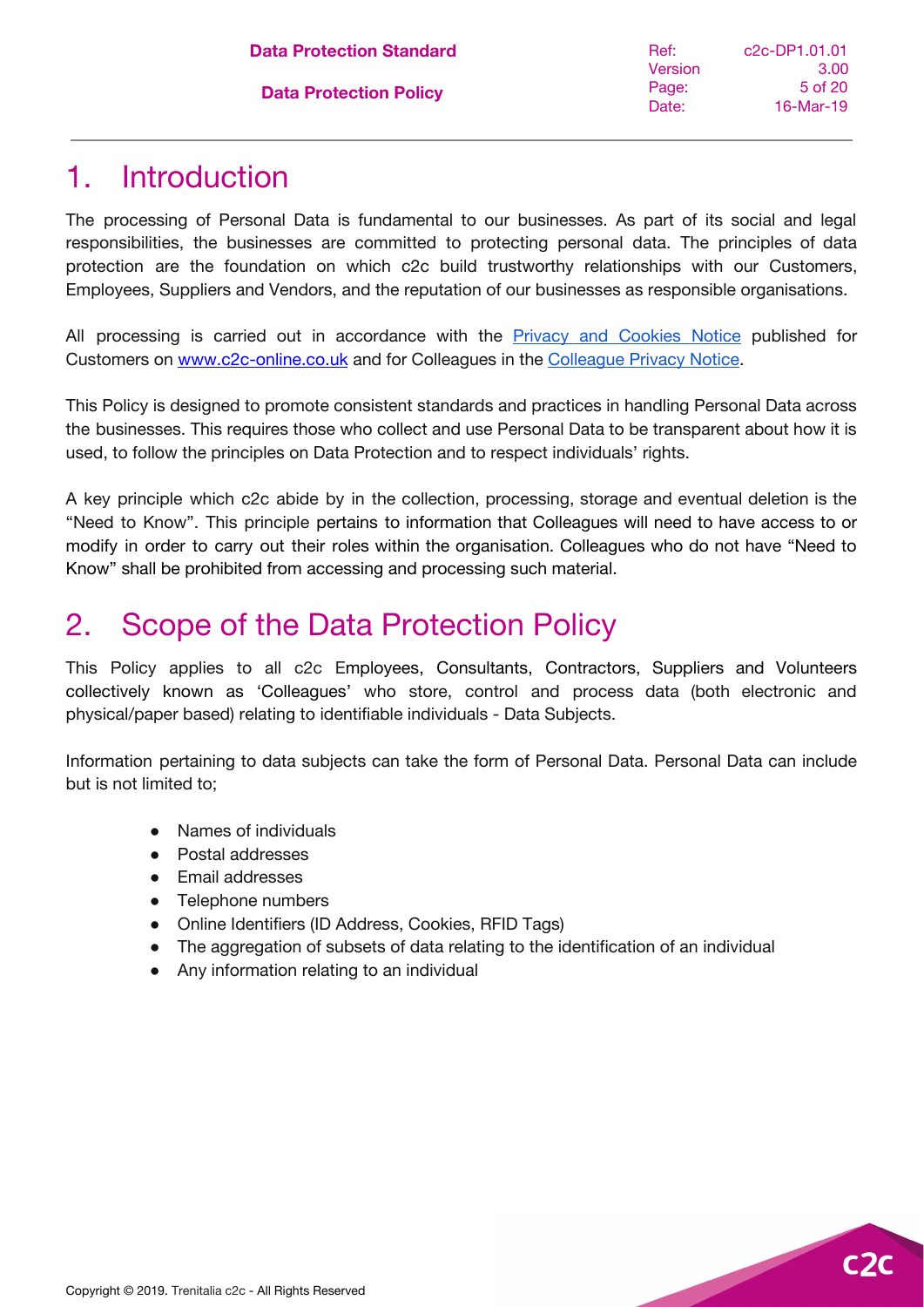### <span id="page-4-0"></span>1. Introduction

The processing of Personal Data is fundamental to our businesses. As part of its social and legal responsibilities, the businesses are committed to protecting personal data. The principles of data protection are the foundation on which c2c build trustworthy relationships with our Customers, Employees, Suppliers and Vendors, and the reputation of our businesses as responsible organisations.

All processing is carried out in accordance with the Privacy and [Cookies](https://www.c2c-online.co.uk/privacy-and-cookies-notice/) Notice published for Customers on [www.c2c-online.co.uk](https://www.c2c-online.co.uk/privacy-and-cookies-notice/) and for Colleagues in the [Colleague](https://docs.google.com/document/d/1P4wt1kYwVwXOemc3m2GjGYutP6zLBgzo1lPWi6FyjFA/edit?usp=sharing) Privacy Notice.

This Policy is designed to promote consistent standards and practices in handling Personal Data across the businesses. This requires those who collect and use Personal Data to be transparent about how it is used, to follow the principles on Data Protection and to respect individuals' rights.

A key principle which c2c abide by in the collection, processing, storage and eventual deletion is the "Need to Know". This principle pertains to information that Colleagues will need to have access to or modify in order to carry out their roles within the organisation. Colleagues who do not have "Need to Know" shall be prohibited from accessing and processing such material.

### <span id="page-4-1"></span>2. Scope of the Data Protection Policy

This Policy applies to all c2c Employees, Consultants, Contractors, Suppliers and Volunteers collectively known as 'Colleagues' who store, control and process data (both electronic and physical/paper based) relating to identifiable individuals - Data Subjects.

Information pertaining to data subjects can take the form of Personal Data. Personal Data can include but is not limited to;

- Names of individuals
- Postal addresses
- Email addresses
- Telephone numbers
- Online Identifiers (ID Address, Cookies, RFID Tags)
- The aggregation of subsets of data relating to the identification of an individual
- Any information relating to an individual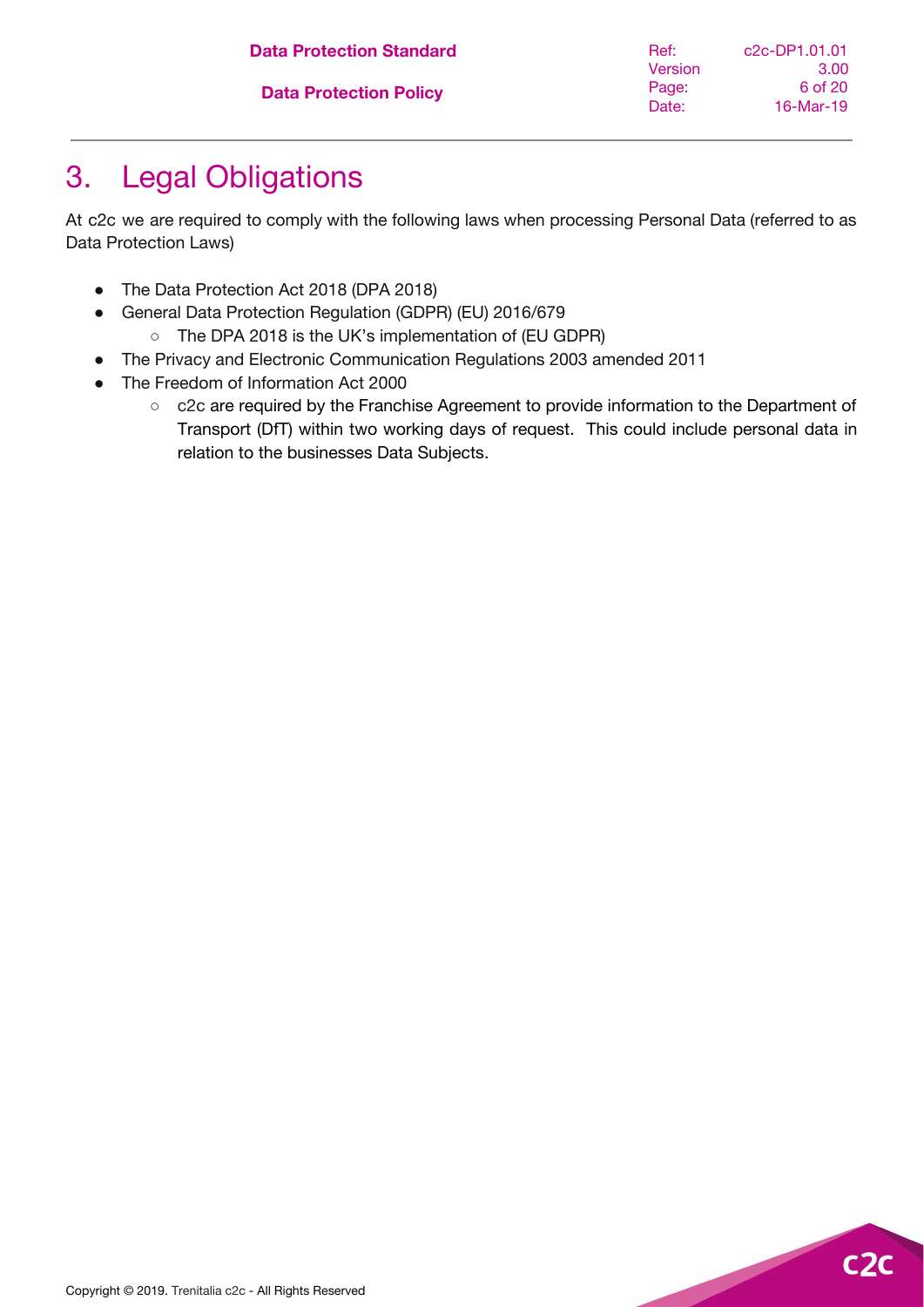| <b>Data Protection Standard</b> | Ref:    | c2c-DP1.01.01 |
|---------------------------------|---------|---------------|
|                                 | Version | 3.00          |
| <b>Data Protection Policy</b>   | Page:   | 6 of 20       |
|                                 | Date:   | $16$ -Mar-19  |
|                                 |         |               |

# <span id="page-5-0"></span>3. Legal Obligations

At c2c we are required to comply with the following laws when processing Personal Data (referred to as Data Protection Laws)

- The Data Protection Act 2018 (DPA 2018)
- General Data Protection Regulation (GDPR) (EU) 2016/679
	- The DPA 2018 is the UK's implementation of (EU GDPR)
- The Privacy and Electronic Communication Regulations 2003 amended 2011
- The Freedom of Information Act 2000
	- c2c are required by the Franchise Agreement to provide information to the Department of Transport (DfT) within two working days of request. This could include personal data in relation to the businesses Data Subjects.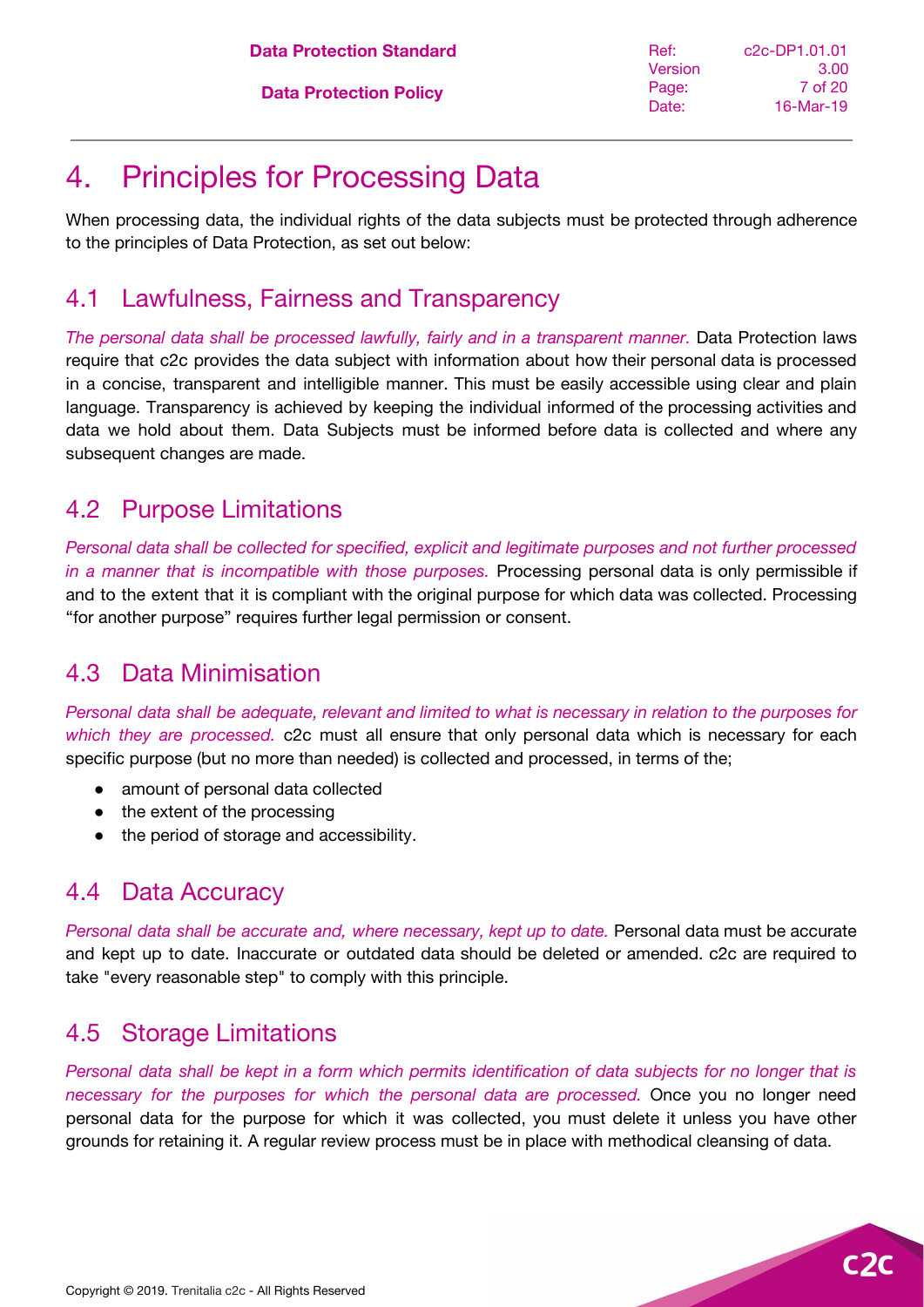### <span id="page-6-0"></span>4. Principles for Processing Data

When processing data, the individual rights of the data subjects must be protected through adherence to the principles of Data Protection, as set out below:

#### <span id="page-6-1"></span>4.1 Lawfulness, Fairness and Transparency

*The personal data shall be processed lawfully, fairly and in a transparent manner.* Data Protection laws require that c2c provides the data subject with information about how their personal data is processed in a concise, transparent and intelligible manner. This must be easily accessible using clear and plain language. Transparency is achieved by keeping the individual informed of the processing activities and data we hold about them. Data Subjects must be informed before data is collected and where any subsequent changes are made.

#### <span id="page-6-2"></span>4.2 Purpose Limitations

*Personal data shall be collected for specified, explicit and legitimate purposes and not further processed in a manner that is incompatible with those purposes.* Processing personal data is only permissible if and to the extent that it is compliant with the original purpose for which data was collected. Processing "for another purpose" requires further legal permission or consent.

#### <span id="page-6-3"></span>4.3 Data Minimisation

Personal data shall be adequate, relevant and limited to what is necessary in relation to the purposes for *which they are processed.* c2c must all ensure that only personal data which is necessary for each specific purpose (but no more than needed) is collected and processed, in terms of the;

- amount of personal data collected
- the extent of the processing
- the period of storage and accessibility.

### <span id="page-6-4"></span>4.4 Data Accuracy

*Personal data shall be accurate and, where necessary, kept up to date.* Personal data must be accurate and kept up to date. Inaccurate or outdated data should be deleted or amended. c2c are required to take "every reasonable step" to comply with this principle.

### <span id="page-6-5"></span>4.5 Storage Limitations

Personal data shall be kept in a form which permits identification of data subjects for no longer that is *necessary for the purposes for which the personal data are processed.* Once you no longer need personal data for the purpose for which it was collected, you must delete it unless you have other grounds for retaining it. A regular review process must be in place with methodical cleansing of data.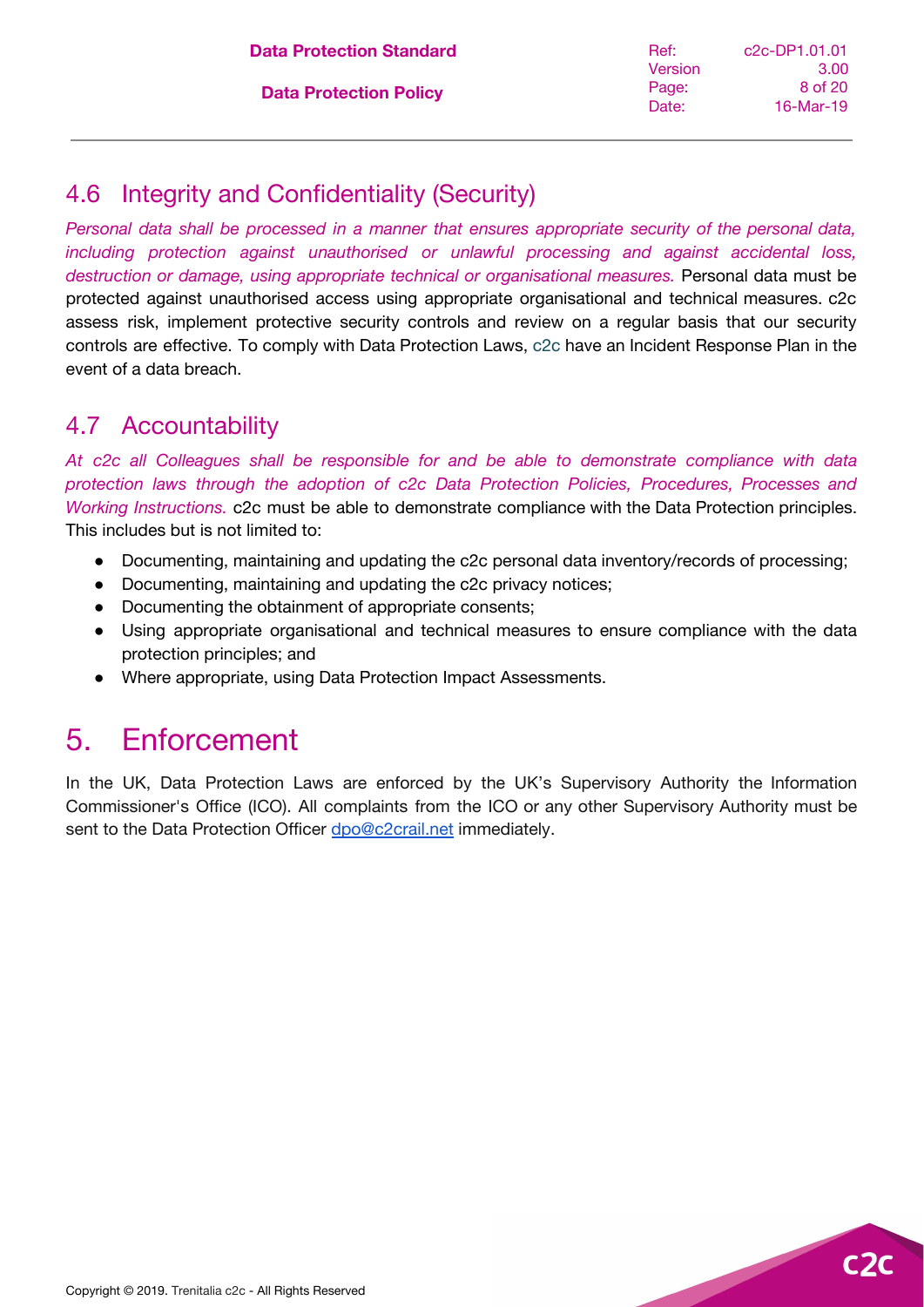### <span id="page-7-0"></span>4.6 Integrity and Confidentiality (Security)

*Personal data shall be processed in a manner that ensures appropriate security of the personal data, including protection against unauthorised or unlawful processing and against accidental loss, destruction or damage, using appropriate technical or organisational measures.* Personal data must be protected against unauthorised access using appropriate organisational and technical measures. c2c assess risk, implement protective security controls and review on a regular basis that our security controls are effective. To comply with Data Protection Laws, c2c have an Incident Response Plan in the event of a data breach.

#### <span id="page-7-1"></span>4.7 Accountability

*At c2c all Colleagues shall be responsible for and be able to demonstrate compliance with data protection laws through the adoption of c2c Data Protection Policies, Procedures, Processes and Working Instructions.* c2c must be able to demonstrate compliance with the Data Protection principles. This includes but is not limited to:

- Documenting, maintaining and updating the c2c personal data inventory/records of processing;
- Documenting, maintaining and updating the c2c privacy notices;
- Documenting the obtainment of appropriate consents;
- Using appropriate organisational and technical measures to ensure compliance with the data protection principles; and
- Where appropriate, using Data Protection Impact Assessments.

### <span id="page-7-2"></span>5. Enforcement

In the UK, Data Protection Laws are enforced by the UK's Supervisory Authority the Information Commissioner's Office (ICO). All complaints from the ICO or any other Supervisory Authority must be sent to the Data Protection Officer [dpo@c2crail.net](mailto:dpo@c2crail.net) immediately.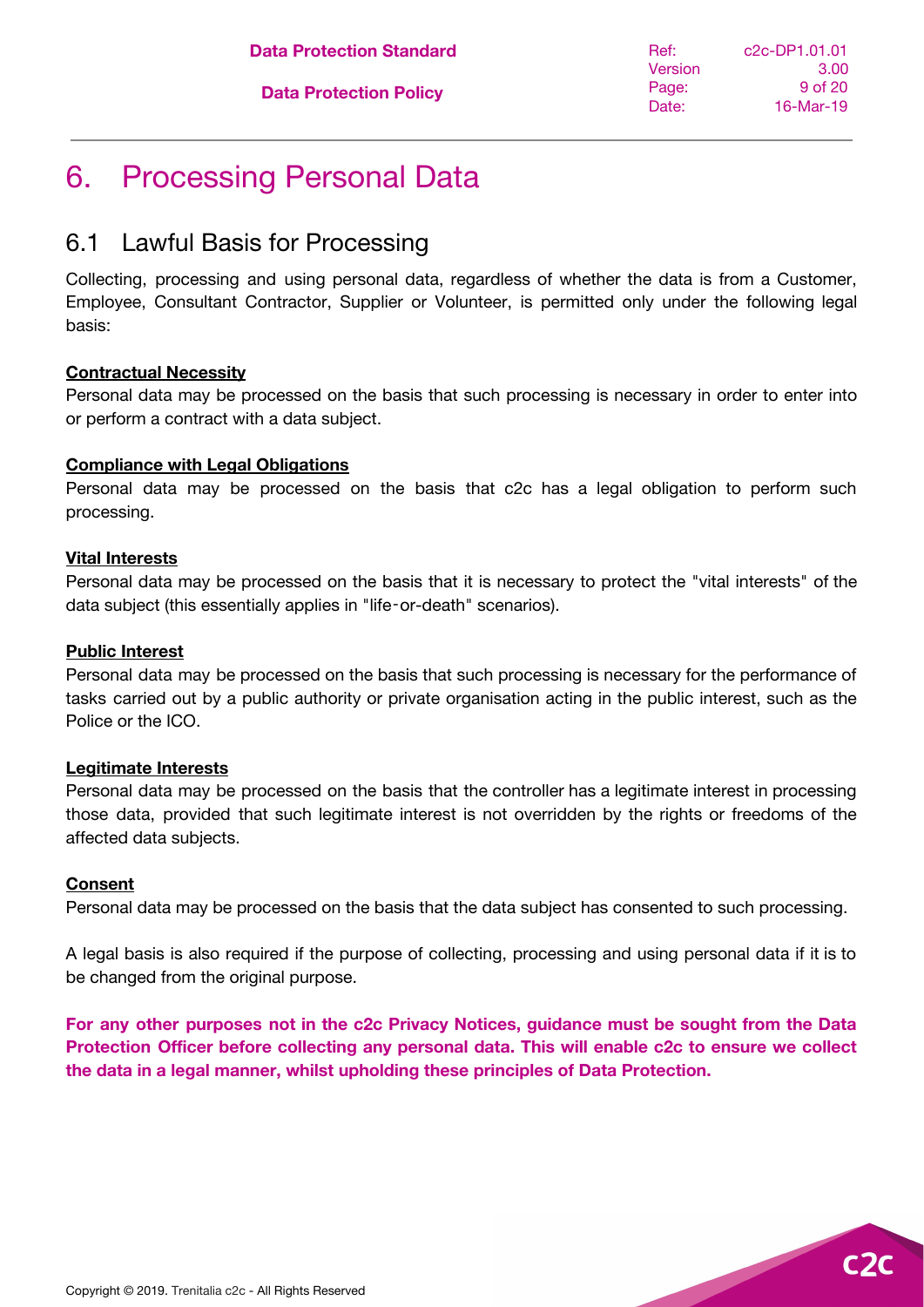**Data Protection Standard**

**Data Protection Policy**

### <span id="page-8-0"></span>6. Processing Personal Data

#### <span id="page-8-1"></span>6.1 Lawful Basis for Processing

Collecting, processing and using personal data, regardless of whether the data is from a Customer, Employee, Consultant Contractor, Supplier or Volunteer, is permitted only under the following legal basis:

#### **Contractual Necessity**

Personal data may be processed on the basis that such processing is necessary in order to enter into or perform a contract with a data subject.

#### **Compliance with Legal Obligations**

Personal data may be processed on the basis that c2c has a legal obligation to perform such processing.

#### **Vital Interests**

Personal data may be processed on the basis that it is necessary to protect the "vital interests" of the data subject (this essentially applies in "life‑or-death" scenarios).

#### **Public Interest**

Personal data may be processed on the basis that such processing is necessary for the performance of tasks carried out by a public authority or private organisation acting in the public interest, such as the Police or the ICO.

#### **Legitimate Interests**

Personal data may be processed on the basis that the controller has a legitimate interest in processing those data, provided that such legitimate interest is not overridden by the rights or freedoms of the affected data subjects.

#### **Consent**

Personal data may be processed on the basis that the data subject has consented to such processing.

A legal basis is also required if the purpose of collecting, processing and using personal data if it is to be changed from the original purpose.

**For any other purposes not in the c2c Privacy Notices, guidance must be sought from the Data Protection Officer before collecting any personal data. This will enable c2c to ensure we collect the data in a legal manner, whilst upholding these principles of Data Protection.**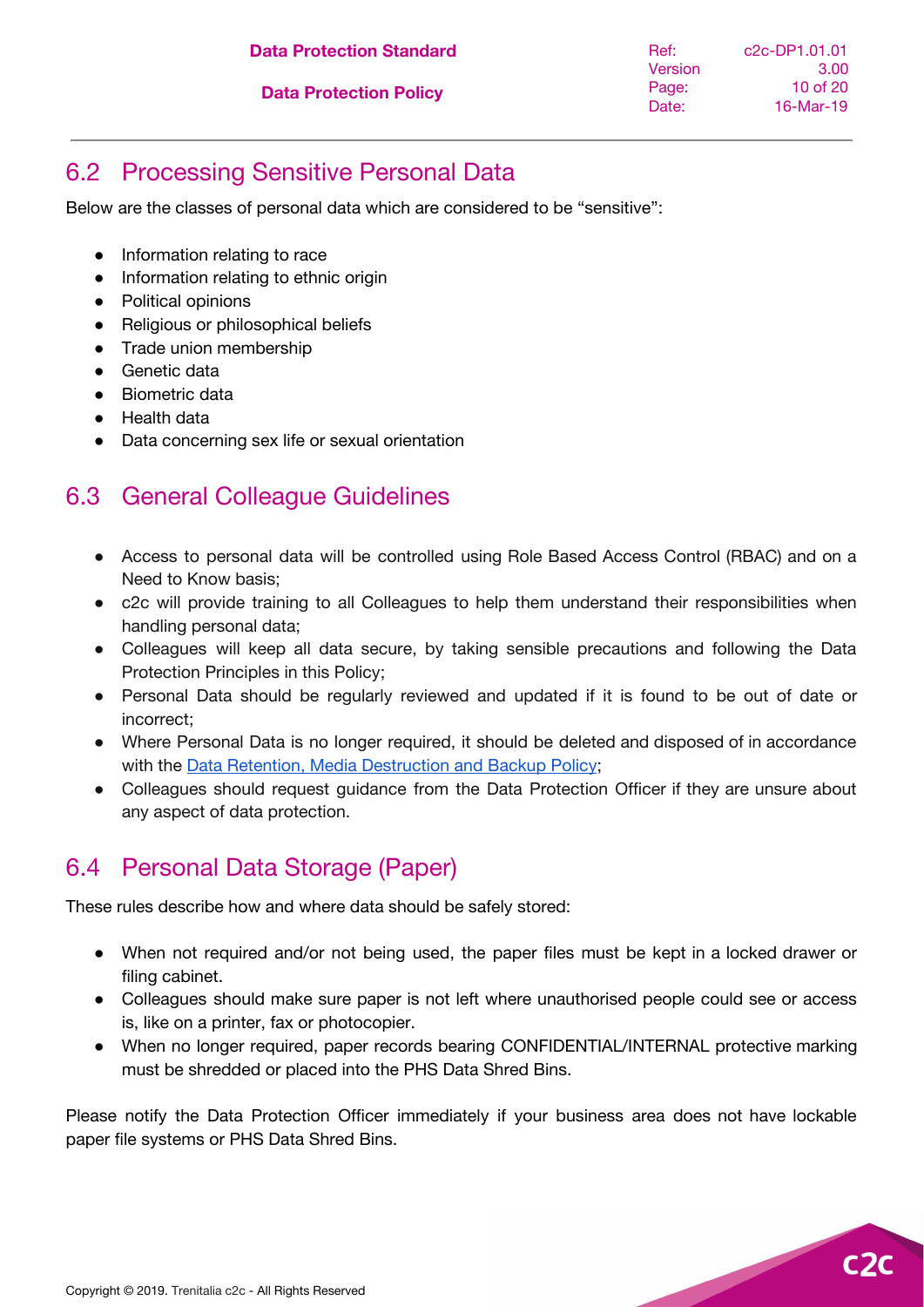**Data Protection Standard**

**Data Protection Policy**

Ref: **Version** Page: Date: c2c-DP1.01.01 3.00 10 of 20 16-Mar-19

### <span id="page-9-0"></span>6.2 Processing Sensitive Personal Data

Below are the classes of personal data which are considered to be "sensitive":

- Information relating to race
- Information relating to ethnic origin
- Political opinions
- Religious or philosophical beliefs
- Trade union membership
- Genetic data
- Biometric data
- Health data
- Data concerning sex life or sexual orientation

#### <span id="page-9-1"></span>6.3 General Colleague Guidelines

- Access to personal data will be controlled using Role Based Access Control (RBAC) and on a Need to Know basis;
- c2c will provide training to all Colleagues to help them understand their responsibilities when handling personal data;
- Colleagues will keep all data secure, by taking sensible precautions and following the Data Protection Principles in this Policy;
- Personal Data should be regularly reviewed and updated if it is found to be out of date or incorrect;
- Where Personal Data is no longer required, it should be deleted and disposed of in accordance with the Data Retention, Media [Destruction](https://docs.google.com/document/d/1QTj9RHtBJQe-FOrhrvCTUBzze9GrnTqmiHuEYpGTIBk/edit?usp=sharing) and Backup Policy;
- Colleagues should request guidance from the Data Protection Officer if they are unsure about any aspect of data protection.

#### <span id="page-9-2"></span>6.4 Personal Data Storage (Paper)

These rules describe how and where data should be safely stored:

- When not required and/or not being used, the paper files must be kept in a locked drawer or filing cabinet.
- Colleagues should make sure paper is not left where unauthorised people could see or access is, like on a printer, fax or photocopier.
- When no longer required, paper records bearing CONFIDENTIAL/INTERNAL protective marking must be shredded or placed into the PHS Data Shred Bins.

Please notify the Data Protection Officer immediately if your business area does not have lockable paper file systems or PHS Data Shred Bins.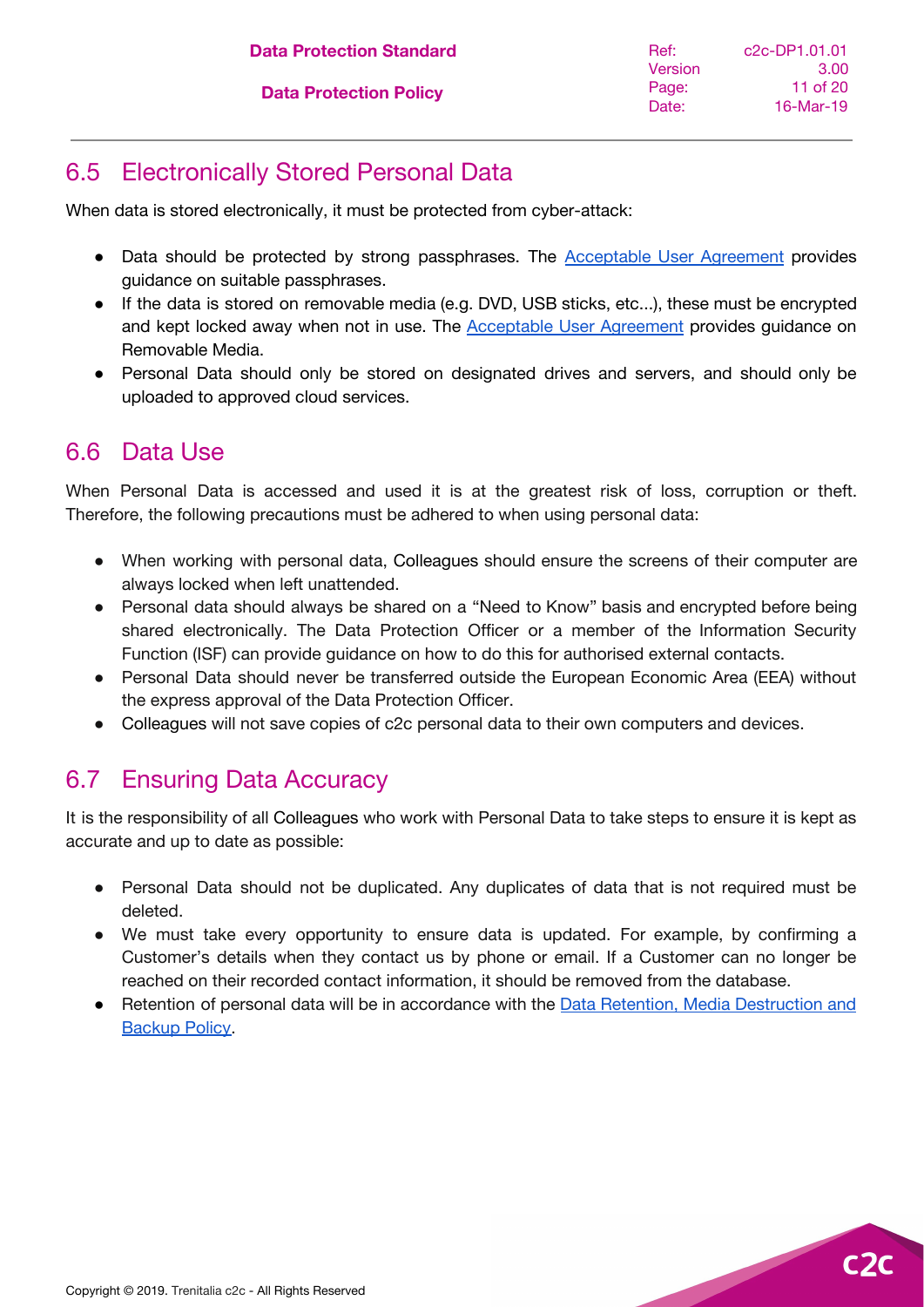### <span id="page-10-0"></span>6.5 Electronically Stored Personal Data

When data is stored electronically, it must be protected from cyber-attack:

- Data should be protected by strong passphrases. The [Acceptable](https://docs.google.com/document/d/1Ek6-PIGa5he0Br_GPHDry7yQcMucBeLk31Lm4VjL-2Q/edit?usp=sharing) User Agreement provides guidance on suitable passphrases.
- If the data is stored on removable media (e.g. DVD, USB sticks, etc...), these must be encrypted and kept locked away when not in use. The [Acceptable](https://docs.google.com/document/d/1Ek6-PIGa5he0Br_GPHDry7yQcMucBeLk31Lm4VjL-2Q/edit?usp=sharing) User Agreement provides guidance on Removable Media.
- Personal Data should only be stored on designated drives and servers, and should only be uploaded to approved cloud services.

#### <span id="page-10-1"></span>6.6 Data Use

When Personal Data is accessed and used it is at the greatest risk of loss, corruption or theft. Therefore, the following precautions must be adhered to when using personal data:

- When working with personal data, Colleagues should ensure the screens of their computer are always locked when left unattended.
- Personal data should always be shared on a "Need to Know" basis and encrypted before being shared electronically. The Data Protection Officer or a member of the Information Security Function (ISF) can provide guidance on how to do this for authorised external contacts.
- Personal Data should never be transferred outside the European Economic Area (EEA) without the express approval of the Data Protection Officer.
- Colleagues will not save copies of c2c personal data to their own computers and devices.

### <span id="page-10-2"></span>6.7 Ensuring Data Accuracy

It is the responsibility of all Colleagues who work with Personal Data to take steps to ensure it is kept as accurate and up to date as possible:

- Personal Data should not be duplicated. Any duplicates of data that is not required must be deleted.
- We must take every opportunity to ensure data is updated. For example, by confirming a Customer's details when they contact us by phone or email. If a Customer can no longer be reached on their recorded contact information, it should be removed from the database.
- Retention of personal data will be in accordance with the Data Retention, Media [Destruction](https://docs.google.com/document/d/1QTj9RHtBJQe-FOrhrvCTUBzze9GrnTqmiHuEYpGTIBk/edit?usp=sharing) and [Backup](https://docs.google.com/document/d/1QTj9RHtBJQe-FOrhrvCTUBzze9GrnTqmiHuEYpGTIBk/edit?usp=sharing) Policy[.](https://www.ourc2c.co.uk/resources/privacy-data-protection/policies/)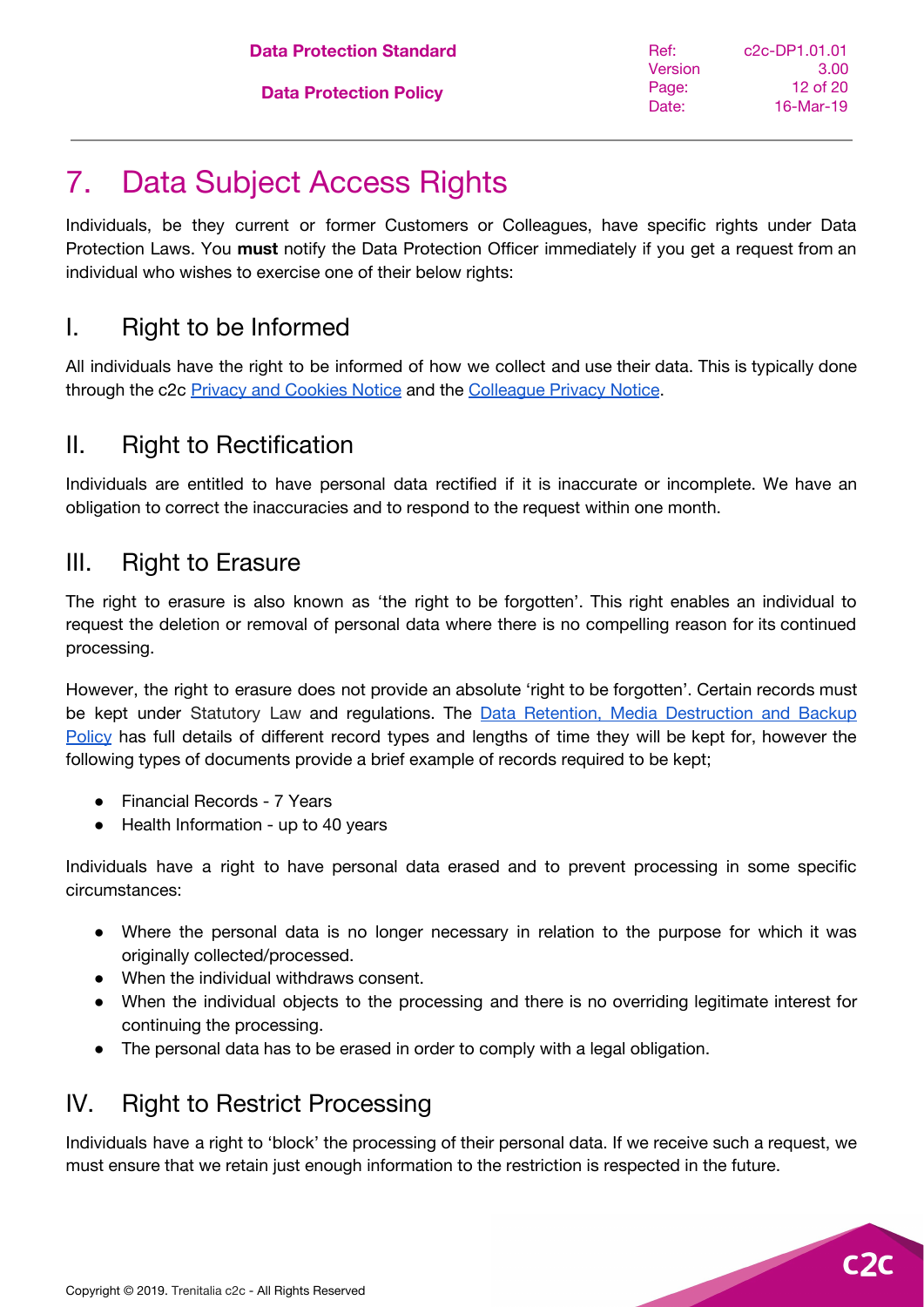# <span id="page-11-0"></span>7. Data Subject Access Rights

Individuals, be they current or former Customers or Colleagues, have specific rights under Data Protection Laws. You **must** notify the Data Protection Officer immediately if you get a request from an individual who wishes to exercise one of their below rights:

### <span id="page-11-1"></span>I. Right to be Informed

All individuals have the right to be informed of how we collect and use their data. This is typically done through the c2c Privacy and [Cookies](https://www.c2c-online.co.uk/privacy-and-cookies-notice/) Notice and the [Colleague](https://docs.google.com/document/d/1P4wt1kYwVwXOemc3m2GjGYutP6zLBgzo1lPWi6FyjFA/edit?usp=sharing) Privacy Notice.

### <span id="page-11-2"></span>II. Right to Rectification

Individuals are entitled to have personal data rectified if it is inaccurate or incomplete. We have an obligation to correct the inaccuracies and to respond to the request within one month.

#### <span id="page-11-3"></span>III. Right to Erasure

The right to erasure is also known as 'the right to be forgotten'. This right enables an individual to request the deletion or removal of personal data where there is no compelling reason for its continued processing.

However, the right to erasure does not provide an absolute 'right to be forgotten'. Certain records must be kept under Statutory Law and regulations. The **Data Retention, Media [Destruction](https://docs.google.com/document/d/1QTj9RHtBJQe-FOrhrvCTUBzze9GrnTqmiHuEYpGTIBk/edit?usp=sharing) and Backup** [Policy](https://docs.google.com/document/d/1QTj9RHtBJQe-FOrhrvCTUBzze9GrnTqmiHuEYpGTIBk/edit?usp=sharing) has full details of different record types and lengths of time they will be kept for, however the following types of documents provide a brief example of records required to be kept;

- Financial Records 7 Years
- Health Information up to 40 years

Individuals have a right to have personal data erased and to prevent processing in some specific circumstances:

- Where the personal data is no longer necessary in relation to the purpose for which it was originally collected/processed.
- When the individual withdraws consent.
- When the individual objects to the processing and there is no overriding legitimate interest for continuing the processing.
- The personal data has to be erased in order to comply with a legal obligation.

### <span id="page-11-4"></span>IV. Right to Restrict Processing

Individuals have a right to 'block' the processing of their personal data. If we receive such a request, we must ensure that we retain just enough information to the restriction is respected in the future.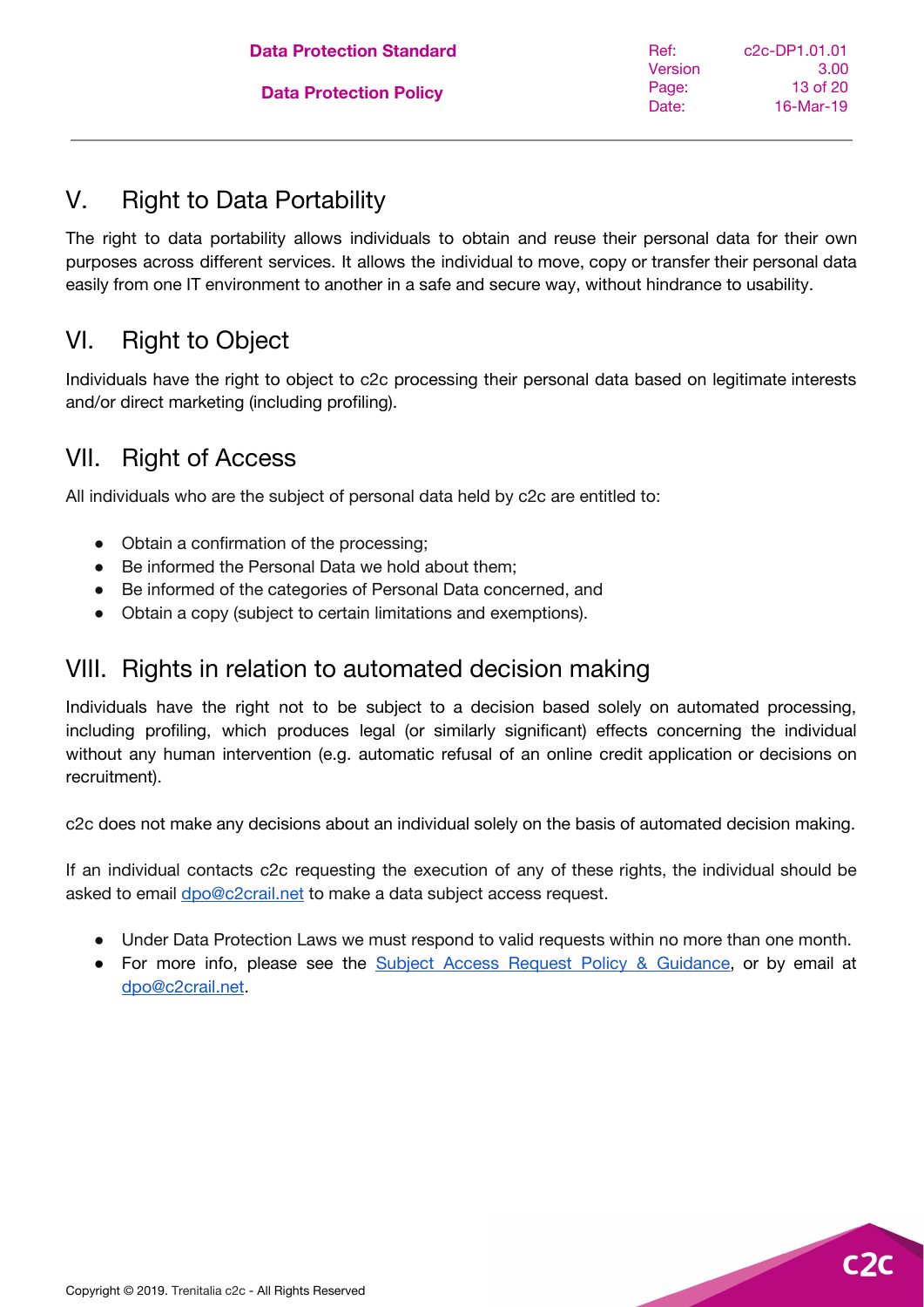### <span id="page-12-0"></span>V. Right to Data Portability

The right to data portability allows individuals to obtain and reuse their personal data for their own purposes across different services. It allows the individual to move, copy or transfer their personal data easily from one IT environment to another in a safe and secure way, without hindrance to usability.

### <span id="page-12-1"></span>VI. Right to Object

Individuals have the right to object to c2c processing their personal data based on legitimate interests and/or direct marketing (including profiling).

### <span id="page-12-2"></span>VII. Right of Access

All individuals who are the subject of personal data held by c2c are entitled to:

- Obtain a confirmation of the processing;
- Be informed the Personal Data we hold about them:
- Be informed of the categories of Personal Data concerned, and
- Obtain a copy (subject to certain limitations and exemptions).

### <span id="page-12-3"></span>VIII. Rights in relation to automated decision making

Individuals have the right not to be subject to a decision based solely on automated processing, including profiling, which produces legal (or similarly significant) effects concerning the individual without any human intervention (e.g. automatic refusal of an online credit application or decisions on recruitment).

c2c does not make any decisions about an individual solely on the basis of automated decision making.

If an individual contacts c2c requesting the execution of any of these rights, the individual should be asked to email [dpo@c2crail.net](mailto:dpo@c2crail.net) to make a data subject access request.

- Under Data Protection Laws we must respond to valid requests within no more than one month.
- For more info, please see the Subject Access Request Policy & [Guidance](https://docs.google.com/document/d/14-6enouEDc0dksoUZyxEBTUYf6b3WMMrp_Io8Wx8RrU/edit?usp=sharing), or by email at [dpo@c2crail.net.](mailto:dpo@c2crail.net)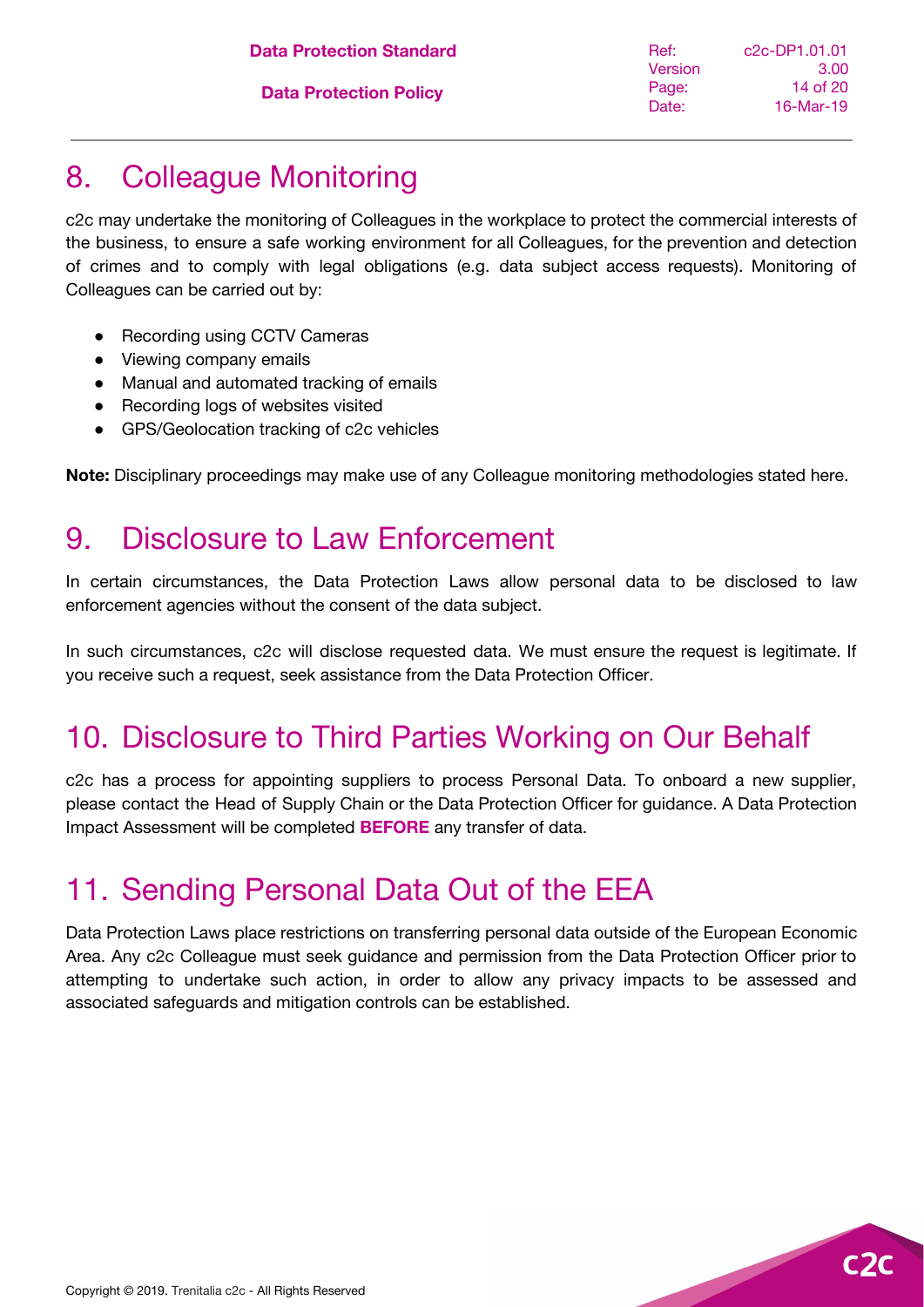| <b>Data Protection Standard</b> |  |
|---------------------------------|--|
|                                 |  |

### <span id="page-13-0"></span>8. Colleague Monitoring

c2c may undertake the monitoring of Colleagues in the workplace to protect the commercial interests of the business, to ensure a safe working environment for all Colleagues, for the prevention and detection of crimes and to comply with legal obligations (e.g. data subject access requests). Monitoring of Colleagues can be carried out by:

- **Recording using CCTV Cameras**
- Viewing company emails
- Manual and automated tracking of emails
- Recording logs of websites visited
- GPS/Geolocation tracking of c2c vehicles

<span id="page-13-1"></span>**Note:** Disciplinary proceedings may make use of any Colleague monitoring methodologies stated here.

### 9. Disclosure to Law Enforcement

In certain circumstances, the Data Protection Laws allow personal data to be disclosed to law enforcement agencies without the consent of the data subject.

In such circumstances, c2c will disclose requested data. We must ensure the request is legitimate. If you receive such a request, seek assistance from the Data Protection Officer.

### <span id="page-13-2"></span>10. Disclosure to Third Parties Working on Our Behalf

c2c has a process for appointing suppliers to process Personal Data. To onboard a new supplier, please contact the Head of Supply Chain or the Data Protection Officer for guidance. A Data Protection Impact Assessment will be completed **BEFORE** any transfer of data.

## <span id="page-13-3"></span>11. Sending Personal Data Out of the EEA

Data Protection Laws place restrictions on transferring personal data outside of the European Economic Area. Any c2c Colleague must seek guidance and permission from the Data Protection Officer prior to attempting to undertake such action, in order to allow any privacy impacts to be assessed and associated safeguards and mitigation controls can be established.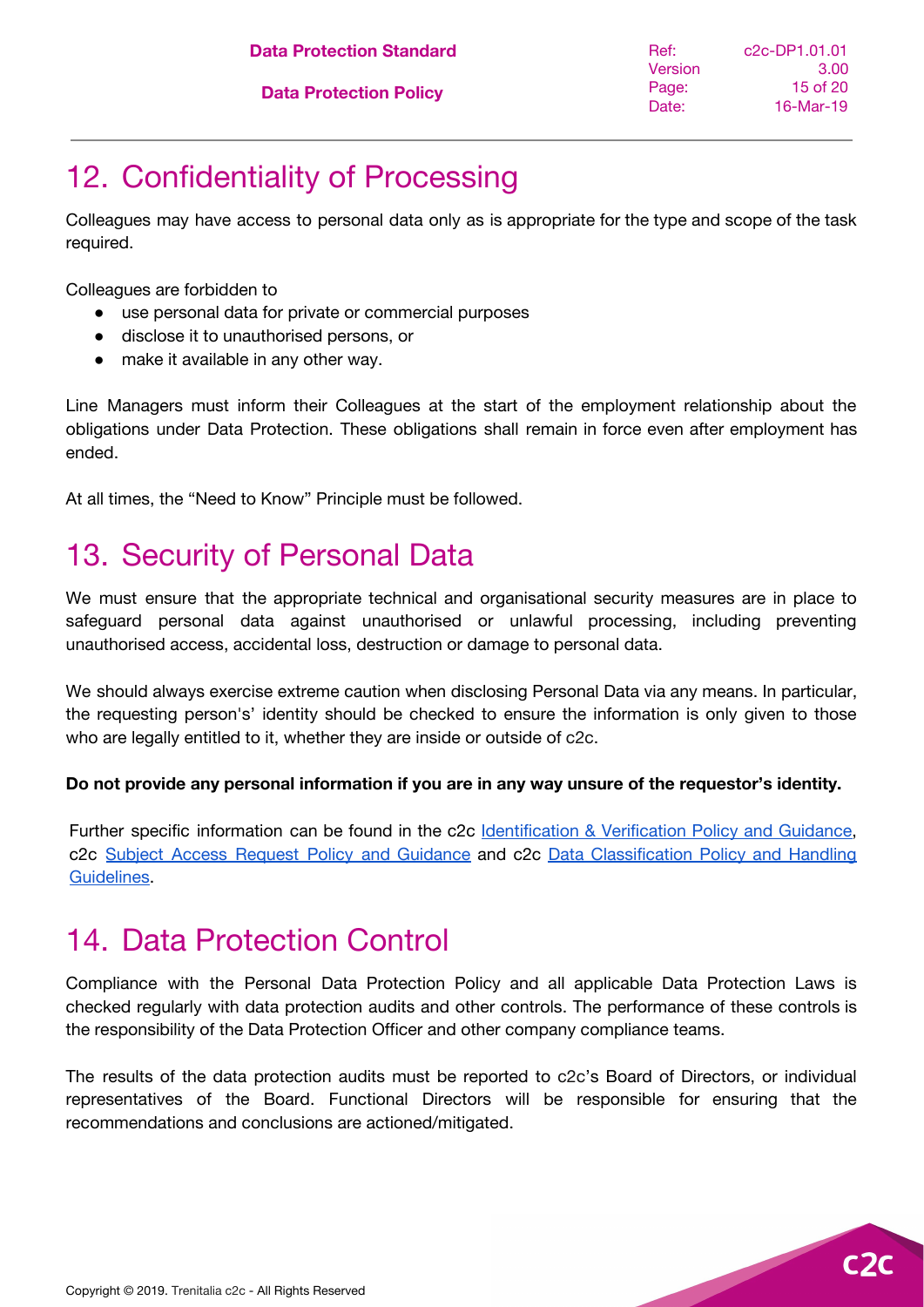# <span id="page-14-0"></span>12. Confidentiality of Processing

Colleagues may have access to personal data only as is appropriate for the type and scope of the task required.

Colleagues are forbidden to

- use personal data for private or commercial purposes
- disclose it to unauthorised persons, or
- make it available in any other way.

Line Managers must inform their Colleagues at the start of the employment relationship about the obligations under Data Protection. These obligations shall remain in force even after employment has ended.

At all times, the "Need to Know" Principle must be followed.

## <span id="page-14-1"></span>13. Security of Personal Data

We must ensure that the appropriate technical and organisational security measures are in place to safeguard personal data against unauthorised or unlawful processing, including preventing unauthorised access, accidental loss, destruction or damage to personal data.

We should always exercise extreme caution when disclosing Personal Data via any means. In particular, the requesting person's' identity should be checked to ensure the information is only given to those who are legally entitled to it, whether they are inside or outside of c2c.

#### **Do not provide any personal information if you are in any way unsure of the requestor's identity.**

Further specific information can be found in the c2c **[Identification](https://docs.google.com/document/d/1flVd9Uj5dPBDax2MlomGj5ZkM670xuaRJ5sese89Mn0/edit?usp=sharing) & Verification Policy and Guidance**, c2c Subject Access Request Policy and [Guidance](https://docs.google.com/document/d/14-6enouEDc0dksoUZyxEBTUYf6b3WMMrp_Io8Wx8RrU/edit?usp=sharing) and c2c Data [Classification](https://docs.google.com/document/d/1U6l5ukLD3p0Tcw1fvEvzCgHSaRZVNwZjP1w5g_dcRFY/edit?usp=sharing) Policy and Handling [Guidelines.](https://docs.google.com/document/d/1U6l5ukLD3p0Tcw1fvEvzCgHSaRZVNwZjP1w5g_dcRFY/edit?usp=sharing)

### <span id="page-14-2"></span>14. Data Protection Control

Compliance with the Personal Data Protection Policy and all applicable Data Protection Laws is checked regularly with data protection audits and other controls. The performance of these controls is the responsibility of the Data Protection Officer and other company compliance teams.

The results of the data protection audits must be reported to c2c's Board of Directors, or individual representatives of the Board. Functional Directors will be responsible for ensuring that the recommendations and conclusions are actioned/mitigated.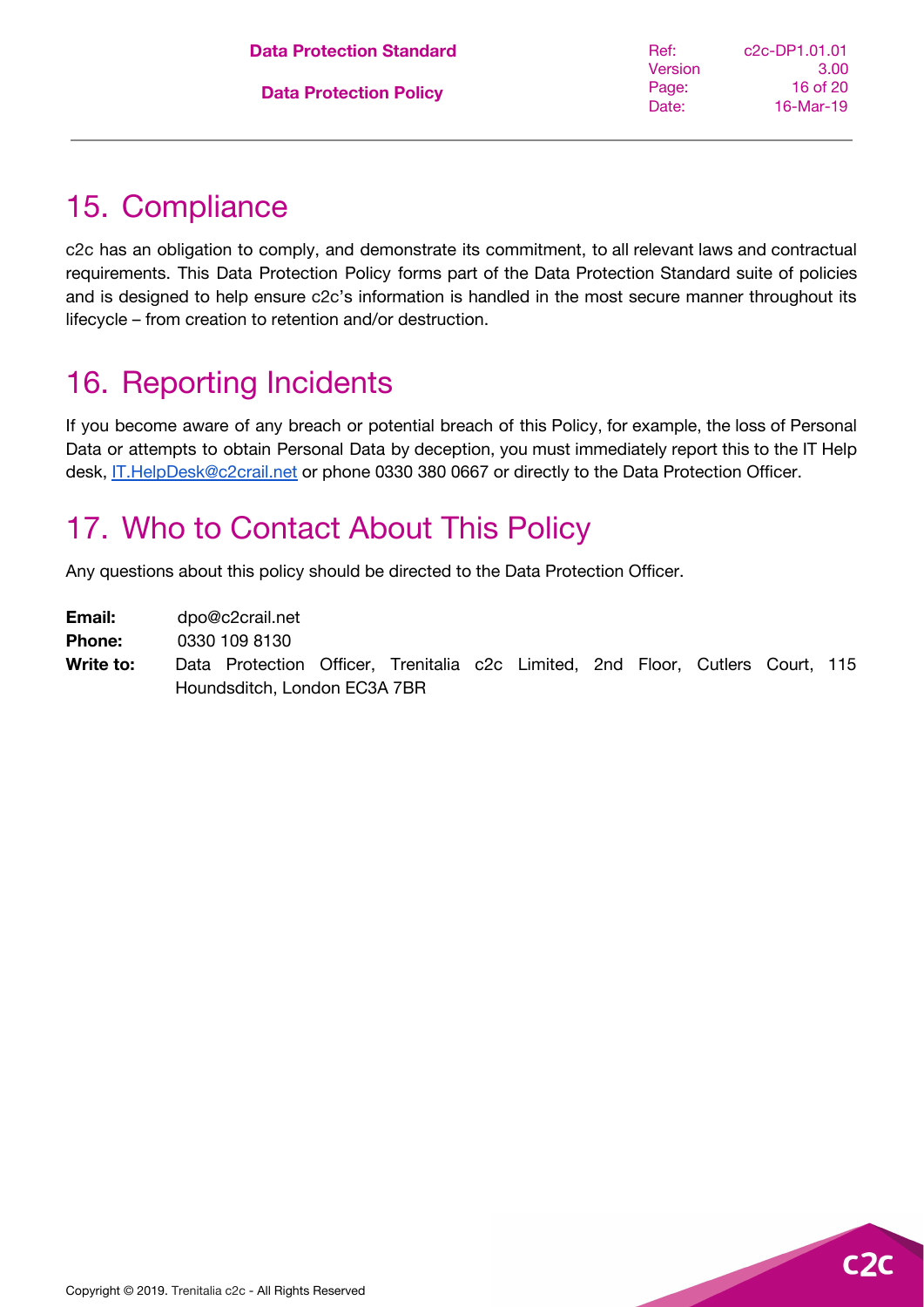# <span id="page-15-0"></span>15. Compliance

c2c has an obligation to comply, and demonstrate its commitment, to all relevant laws and contractual requirements. This Data Protection Policy forms part of the Data Protection Standard suite of policies and is designed to help ensure c2c's information is handled in the most secure manner throughout its lifecycle – from creation to retention and/or destruction.

# <span id="page-15-1"></span>16. Reporting Incidents

If you become aware of any breach or potential breach of this Policy, for example, the loss of Personal Data or attempts to obtain Personal Data by deception, you must immediately report this to the IT Help desk, **[IT.HelpDesk@c2crail.net](mailto:IT.HelpDesk@c2crail.net)** or phone 0330 380 0667 or directly to the Data Protection Officer.

# <span id="page-15-2"></span>17. Who to Contact About This Policy

Any questions about this policy should be directed to the Data Protection Officer.

**Email:** dpo@c2crail.net

**Phone:** 0330 109 8130

**Write to:** Data Protection Officer, Trenitalia c2c Limited, 2nd Floor, Cutlers Court, 115 Houndsditch, London EC3A 7BR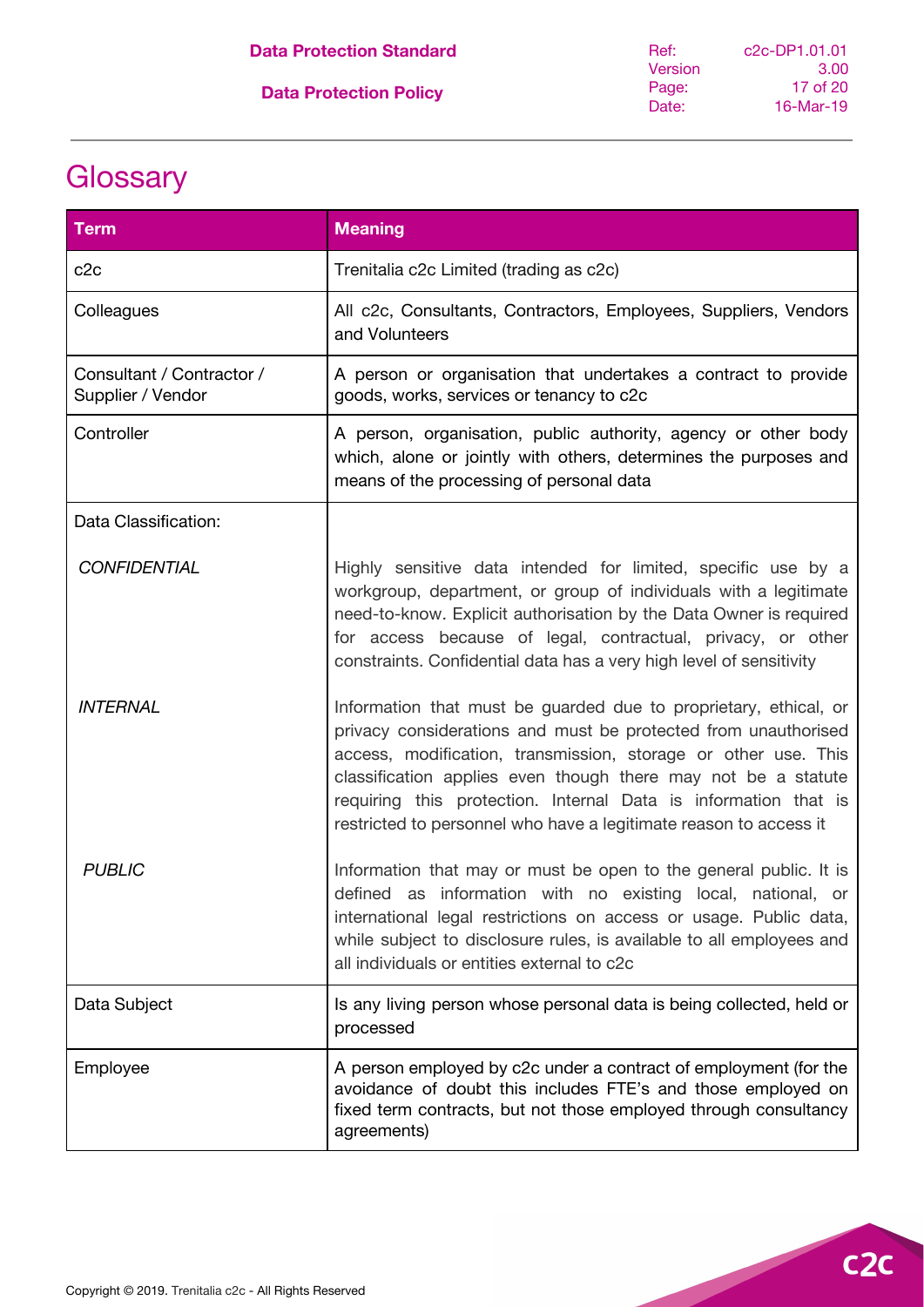|  | <b>Data Protection Standard</b> |
|--|---------------------------------|
|  |                                 |

# <span id="page-16-0"></span>**Glossary**

| <b>Term</b>                                    | <b>Meaning</b>                                                                                                                                                                                                                                                                                                                                                                                                |
|------------------------------------------------|---------------------------------------------------------------------------------------------------------------------------------------------------------------------------------------------------------------------------------------------------------------------------------------------------------------------------------------------------------------------------------------------------------------|
| c2c                                            | Trenitalia c2c Limited (trading as c2c)                                                                                                                                                                                                                                                                                                                                                                       |
| Colleagues                                     | All c2c, Consultants, Contractors, Employees, Suppliers, Vendors<br>and Volunteers                                                                                                                                                                                                                                                                                                                            |
| Consultant / Contractor /<br>Supplier / Vendor | A person or organisation that undertakes a contract to provide<br>goods, works, services or tenancy to c2c                                                                                                                                                                                                                                                                                                    |
| Controller                                     | A person, organisation, public authority, agency or other body<br>which, alone or jointly with others, determines the purposes and<br>means of the processing of personal data                                                                                                                                                                                                                                |
| Data Classification:                           |                                                                                                                                                                                                                                                                                                                                                                                                               |
| <b>CONFIDENTIAL</b>                            | Highly sensitive data intended for limited, specific use by a<br>workgroup, department, or group of individuals with a legitimate<br>need-to-know. Explicit authorisation by the Data Owner is required<br>for access because of legal, contractual, privacy, or other<br>constraints. Confidential data has a very high level of sensitivity                                                                 |
| <b>INTERNAL</b>                                | Information that must be guarded due to proprietary, ethical, or<br>privacy considerations and must be protected from unauthorised<br>access, modification, transmission, storage or other use. This<br>classification applies even though there may not be a statute<br>requiring this protection. Internal Data is information that is<br>restricted to personnel who have a legitimate reason to access it |
| <b>PUBLIC</b>                                  | Information that may or must be open to the general public. It is<br>defined as information with no existing local, national, or<br>international legal restrictions on access or usage. Public data,<br>while subject to disclosure rules, is available to all employees and<br>all individuals or entities external to c2c                                                                                  |
| Data Subject                                   | Is any living person whose personal data is being collected, held or<br>processed                                                                                                                                                                                                                                                                                                                             |
| Employee                                       | A person employed by c2c under a contract of employment (for the<br>avoidance of doubt this includes FTE's and those employed on<br>fixed term contracts, but not those employed through consultancy<br>agreements)                                                                                                                                                                                           |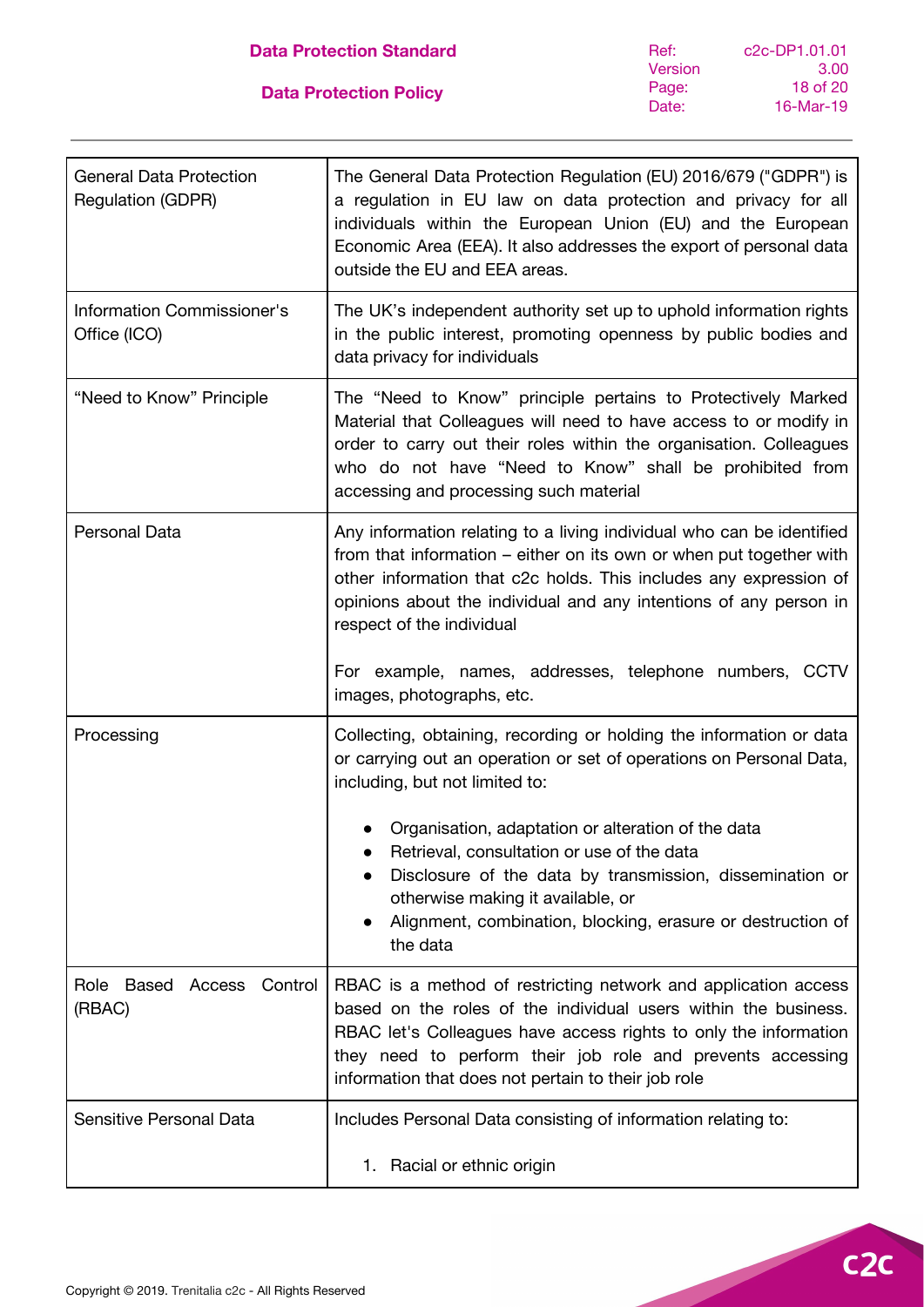| <b>General Data Protection</b><br><b>Regulation (GDPR)</b> | The General Data Protection Regulation (EU) 2016/679 ("GDPR") is<br>a regulation in EU law on data protection and privacy for all<br>individuals within the European Union (EU) and the European<br>Economic Area (EEA). It also addresses the export of personal data<br>outside the EU and EEA areas.                    |
|------------------------------------------------------------|----------------------------------------------------------------------------------------------------------------------------------------------------------------------------------------------------------------------------------------------------------------------------------------------------------------------------|
| Information Commissioner's<br>Office (ICO)                 | The UK's independent authority set up to uphold information rights<br>in the public interest, promoting openness by public bodies and<br>data privacy for individuals                                                                                                                                                      |
| "Need to Know" Principle                                   | The "Need to Know" principle pertains to Protectively Marked<br>Material that Colleagues will need to have access to or modify in<br>order to carry out their roles within the organisation. Colleagues<br>who do not have "Need to Know" shall be prohibited from<br>accessing and processing such material               |
| Personal Data                                              | Any information relating to a living individual who can be identified<br>from that information – either on its own or when put together with<br>other information that c2c holds. This includes any expression of<br>opinions about the individual and any intentions of any person in<br>respect of the individual        |
|                                                            | For example, names, addresses, telephone numbers, CCTV<br>images, photographs, etc.                                                                                                                                                                                                                                        |
| Processing                                                 | Collecting, obtaining, recording or holding the information or data<br>or carrying out an operation or set of operations on Personal Data,<br>including, but not limited to:                                                                                                                                               |
|                                                            | Organisation, adaptation or alteration of the data<br>Retrieval, consultation or use of the data<br>Disclosure of the data by transmission, dissemination or<br>otherwise making it available, or<br>Alignment, combination, blocking, erasure or destruction of<br>the data                                               |
| Based<br>Control<br>Role<br>Access<br>(RBAC)               | RBAC is a method of restricting network and application access<br>based on the roles of the individual users within the business.<br>RBAC let's Colleagues have access rights to only the information<br>they need to perform their job role and prevents accessing<br>information that does not pertain to their job role |
| Sensitive Personal Data                                    | Includes Personal Data consisting of information relating to:                                                                                                                                                                                                                                                              |
|                                                            | 1. Racial or ethnic origin                                                                                                                                                                                                                                                                                                 |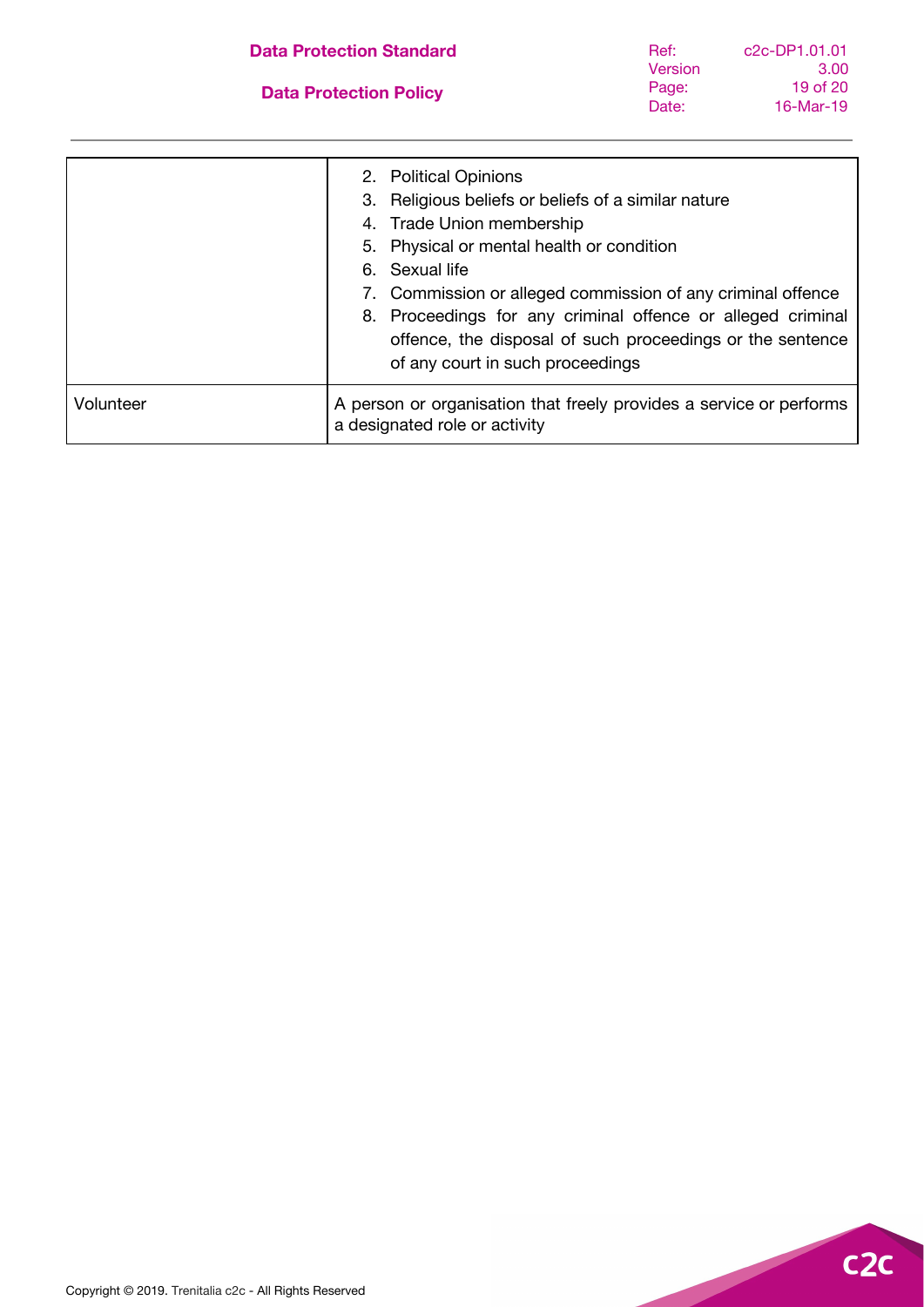#### **Data Protection Standard**

#### **Data Protection Policy**

| c <sub>2</sub> c-DP <sub>1</sub> .01.01 |
|-----------------------------------------|
| 3.00                                    |
| 19 of 20                                |
| 16-Mar-19                               |
|                                         |

|           | 2. Political Opinions<br>3. Religious beliefs or beliefs of a similar nature<br>4. Trade Union membership<br>5. Physical or mental health or condition<br>6. Sexual life<br>7. Commission or alleged commission of any criminal offence<br>8. Proceedings for any criminal offence or alleged criminal<br>offence, the disposal of such proceedings or the sentence<br>of any court in such proceedings |
|-----------|---------------------------------------------------------------------------------------------------------------------------------------------------------------------------------------------------------------------------------------------------------------------------------------------------------------------------------------------------------------------------------------------------------|
| Volunteer | A person or organisation that freely provides a service or performs<br>a designated role or activity                                                                                                                                                                                                                                                                                                    |